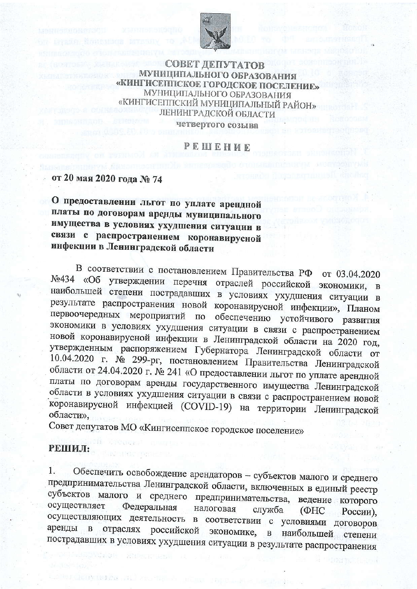

СОВЕТ ДЕПУТАТОВ МУНИЦИПАЛЬНОГО ОБРАЗОВАНИЯ «КИНГИСЕППСКОЕ ГОРОДСКОЕ ПОСЕЛЕНИЕ» МУНИЦИПАЛЬНОГО ОБРАЗОВАНИЯ «КИНГИСЕППСКИЙ МУНИЦИПАЛЬНЫЙ РАЙОН» ЛЕНИНГРАДСКОЙ ОБЛАСТИ

четвертого созыва

PEMEHUE

от 20 мая 2020 года № 74

О предоставлении льгот по уплате арендной платы по договорам аренды муниципального имущества в условиях ухудшения ситуации в связи с распространением коронавирусной инфекции в Ленинградской области

В соответствии с постановлением Правительства РФ от 03.04.2020 №434 «Об утверждении перечня отраслей российской экономики, в наибольшей степени пострадавших в условиях ухудшения ситуации в результате распространения новой коронавирусной инфекции», Планом первоочередных мероприятий по обеспечению устойчивого развития экономики в условиях ухудшения ситуации в связи с распространением новой коронавирусной инфекции в Ленинградской области на 2020 год, утвержденным распоряжением Губернатора Ленинградской области от 10.04.2020 г. № 299-рг, постановлением Правительства Ленинградской области от 24.04.2020 г. № 241 «О предоставлении льгот по уплате арендной платы по договорам аренды государственного имущества Ленинградской области в условиях ухудшения ситуации в связи с распространением новой коронавирусной инфекцией (COVID-19) на территории Ленинградской области».

Совет депутатов МО «Кингисеппское городское поселение»

## РЕШИЛ:

1. Обеспечить освобождение арендаторов - субъектов малого и среднего предпринимательства Ленинградской области, включенных в единый реестр субъектов малого и среднего предпринимательства, ведение которого осуществляет Федеральная налоговая служба  $\Phi$ HC России). осуществляющих деятельность в соответствии с условиями договоров отраслях российской экономике, в наибольшей степени аренды в пострадавших в условиях ухудшения ситуации в результате распространения